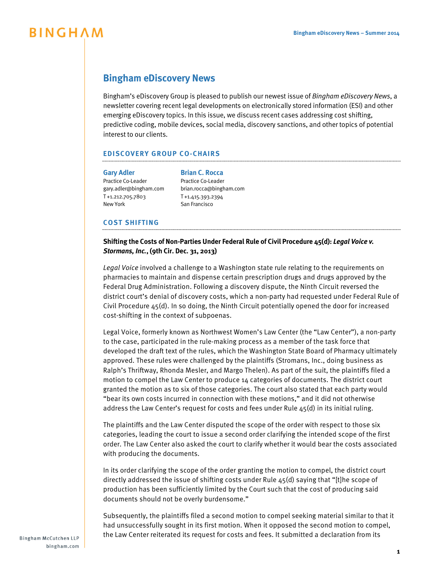# **BINGHAM**

## **Bingham eDiscovery News**

Bingham's eDiscovery Group is pleased to publish our newest issue of *Bingham eDiscovery News*, a newsletter covering recent legal developments on electronically stored information (ESI) and other emerging eDiscovery topics. In this issue, we discuss recent cases addressing cost shifting, predictive coding, mobile devices, social media, discovery sanctions, and other topics of potential interest to our clients.

## **EDISCOVERY GROUP CO-CHAIRS**

#### **[Gary Adler](http://www.bingham.com/People/Adler-Gary) [Brian C. Rocca](http://www.bingham.com/People/Rocca-Brian)**

Practice Co-Leader Practice Co-Leader gary.adler@bingham.com brian.rocca@bingham.com T +1.212.705.7803 T +1.415.393.2394 New York **San Francisco** 

## **COST SHIFTING**

## **Shifting the Costs of Non-Parties Under Federal Rule of Civil Procedure 45(d):** *Legal Voice v. Stormans, Inc.***, (9th Cir. Dec. 31, 2013)**

*Legal Voice* involved a challenge to a Washington state rule relating to the requirements on pharmacies to maintain and dispense certain prescription drugs and drugs approved by the Federal Drug Administration. Following a discovery dispute, the Ninth Circuit reversed the district court's denial of discovery costs, which a non-party had requested under Federal Rule of Civil Procedure 45(d). In so doing, the Ninth Circuit potentially opened the door for increased cost-shifting in the context of subpoenas.

Legal Voice, formerly known as Northwest Women's Law Center (the "Law Center"), a non-party to the case, participated in the rule-making process as a member of the task force that developed the draft text of the rules, which the Washington State Board of Pharmacy ultimately approved. These rules were challenged by the plaintiffs (Stromans, Inc., doing business as Ralph's Thriftway, Rhonda Mesler, and Margo Thelen). As part of the suit, the plaintiffs filed a motion to compel the Law Center to produce 14 categories of documents. The district court granted the motion as to six of those categories. The court also stated that each party would "bear its own costs incurred in connection with these motions," and it did not otherwise address the Law Center's request for costs and fees under Rule  $45(d)$  in its initial ruling.

The plaintiffs and the Law Center disputed the scope of the order with respect to those six categories, leading the court to issue a second order clarifying the intended scope of the first order. The Law Center also asked the court to clarify whether it would bear the costs associated with producing the documents.

In its order clarifying the scope of the order granting the motion to compel, the district court directly addressed the issue of shifting costs under Rule 45(d) saying that "[t]he scope of production has been sufficiently limited by the Court such that the cost of producing said documents should not be overly burdensome."

Subsequently, the plaintiffs filed a second motion to compel seeking material similar to that it had unsuccessfully sought in its first motion. When it opposed the second motion to compel, the Law Center reiterated its request for costs and fees. It submitted a declaration from its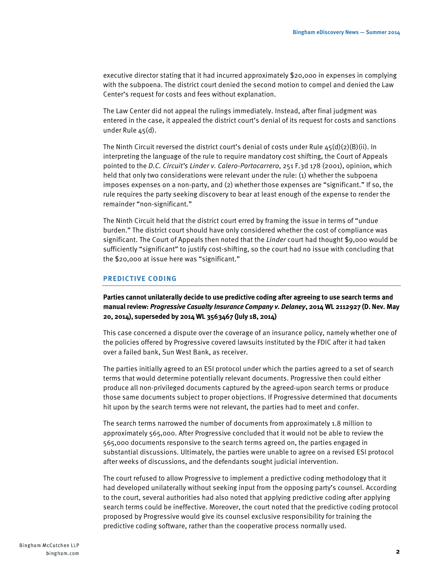executive director stating that it had incurred approximately \$20,000 in expenses in complying with the subpoena. The district court denied the second motion to compel and denied the Law Center's request for costs and fees without explanation.

The Law Center did not appeal the rulings immediately. Instead, after final judgment was entered in the case, it appealed the district court's denial of its request for costs and sanctions under Rule 45(d).

The Ninth Circuit reversed the district court's denial of costs under Rule  $45(d)(2)(B)(ii)$ . In interpreting the language of the rule to require mandatory cost shifting, the Court of Appeals pointed to the *D.C. Circuit's Linder v. Calero-Portocarrero*, 251 F.3d 178 (2001), opinion, which held that only two considerations were relevant under the rule: (1) whether the subpoena imposes expenses on a non-party, and (2) whether those expenses are "significant." If so, the rule requires the party seeking discovery to bear at least enough of the expense to render the remainder "non-significant."

The Ninth Circuit held that the district court erred by framing the issue in terms of "undue burden." The district court should have only considered whether the cost of compliance was significant. The Court of Appeals then noted that the *Linder* court had thought \$9,000 would be sufficiently "significant" to justify cost-shifting, so the court had no issue with concluding that the \$20,000 at issue here was "significant."

#### **PREDICTIVE CODING**

**Parties cannot unilaterally decide to use predictive coding after agreeing to use search terms and manual review:** *Progressive Casualty Insurance Company v. Delaney***, 2014 WL 2112927 (D. Nev. May 20, 2014), superseded by 2014 WL 3563467 (July 18, 2014)**

This case concerned a dispute over the coverage of an insurance policy, namely whether one of the policies offered by Progressive covered lawsuits instituted by the FDIC after it had taken over a failed bank, Sun West Bank, as receiver.

The parties initially agreed to an ESI protocol under which the parties agreed to a set of search terms that would determine potentially relevant documents. Progressive then could either produce all non-privileged documents captured by the agreed-upon search terms or produce those same documents subject to proper objections. If Progressive determined that documents hit upon by the search terms were not relevant, the parties had to meet and confer.

The search terms narrowed the number of documents from approximately 1.8 million to approximately 565,000. After Progressive concluded that it would not be able to review the 565,000 documents responsive to the search terms agreed on, the parties engaged in substantial discussions. Ultimately, the parties were unable to agree on a revised ESI protocol after weeks of discussions, and the defendants sought judicial intervention.

The court refused to allow Progressive to implement a predictive coding methodology that it had developed unilaterally without seeking input from the opposing party's counsel. According to the court, several authorities had also noted that applying predictive coding after applying search terms could be ineffective. Moreover, the court noted that the predictive coding protocol proposed by Progressive would give its counsel exclusive responsibility for training the predictive coding software, rather than the cooperative process normally used.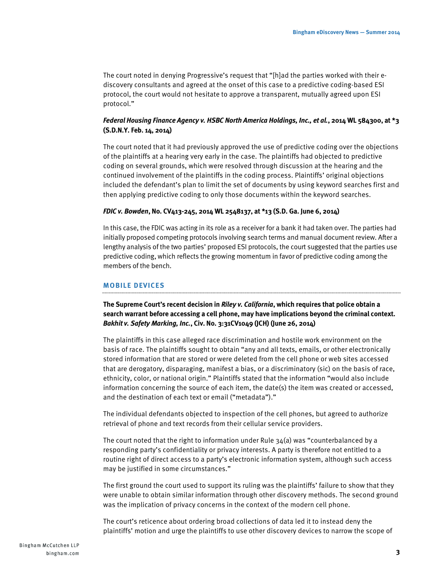The court noted in denying Progressive's request that "[h]ad the parties worked with their ediscovery consultants and agreed at the onset of this case to a predictive coding-based ESI protocol, the court would not hesitate to approve a transparent, mutually agreed upon ESI protocol."

## *Federal Housing Finance Agency v. HSBC North America Holdings, Inc., et al.***, 2014 WL 584300, at \*3 (S.D.N.Y. Feb. 14, 2014)**

The court noted that it had previously approved the use of predictive coding over the objections of the plaintiffs at a hearing very early in the case. The plaintiffs had objected to predictive coding on several grounds, which were resolved through discussion at the hearing and the continued involvement of the plaintiffs in the coding process. Plaintiffs' original objections included the defendant's plan to limit the set of documents by using keyword searches first and then applying predictive coding to only those documents within the keyword searches.

#### *FDIC v. Bowden***, No. CV413-245, 2014 WL 2548137, at \*13 (S.D. Ga. June 6, 2014)**

In this case, the FDIC was acting in its role as a receiver for a bank it had taken over. The parties had initially proposed competing protocols involving search terms and manual document review. After a lengthy analysis of the two parties' proposed ESI protocols, the court suggested that the parties use predictive coding, which reflects the growing momentum in favor of predictive coding among the members of the bench.

#### **MOBILE DEVICES**

**The Supreme Court's recent decision in** *Riley v. California***, which requires that police obtain a search warrant before accessing a cell phone, may have implications beyond the criminal context.** *Bakhit v. Safety Marking, Inc.***, Civ. No. 3:31CV1049 (JCH) (June 26, 2014)**

The plaintiffs in this case alleged race discrimination and hostile work environment on the basis of race. The plaintiffs sought to obtain "any and all texts, emails, or other electronically stored information that are stored or were deleted from the cell phone or web sites accessed that are derogatory, disparaging, manifest a bias, or a discriminatory (sic) on the basis of race, ethnicity, color, or national origin." Plaintiffs stated that the information "would also include information concerning the source of each item, the date(s) the item was created or accessed, and the destination of each text or email ("metadata")."

The individual defendants objected to inspection of the cell phones, but agreed to authorize retrieval of phone and text records from their cellular service providers.

The court noted that the right to information under Rule  $34(a)$  was "counterbalanced by a responding party's confidentiality or privacy interests. A party is therefore not entitled to a routine right of direct access to a party's electronic information system, although such access may be justified in some circumstances."

The first ground the court used to support its ruling was the plaintiffs' failure to show that they were unable to obtain similar information through other discovery methods. The second ground was the implication of privacy concerns in the context of the modern cell phone.

The court's reticence about ordering broad collections of data led it to instead deny the plaintiffs' motion and urge the plaintiffs to use other discovery devices to narrow the scope of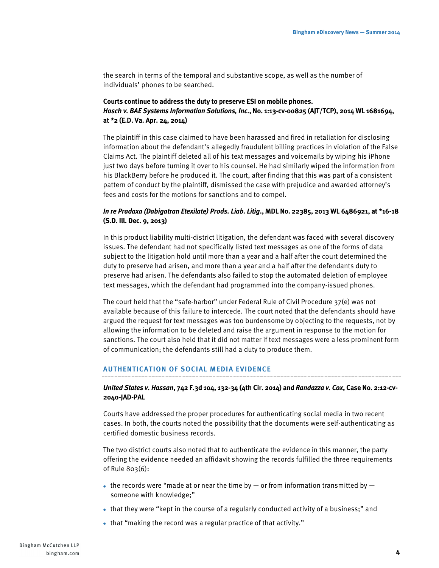the search in terms of the temporal and substantive scope, as well as the number of individuals' phones to be searched.

## **Courts continue to address the duty to preserve ESI on mobile phones.** *Hosch v. BAE Systems Information Solutions, Inc***., No. 1:13-cv-00825 (AJT/TCP), 2014 WL 1681694, at \*2 (E.D. Va. Apr. 24, 2014)**

The plaintiff in this case claimed to have been harassed and fired in retaliation for disclosing information about the defendant's allegedly fraudulent billing practices in violation of the False Claims Act. The plaintiff deleted all of his text messages and voicemails by wiping his iPhone just two days before turning it over to his counsel. He had similarly wiped the information from his BlackBerry before he produced it. The court, after finding that this was part of a consistent pattern of conduct by the plaintiff, dismissed the case with prejudice and awarded attorney's fees and costs for the motions for sanctions and to compel.

## *In re Pradaxa (Dabigatran Etexilate) Prods. Liab. Litig***., MDL No. 22385, 2013 WL 6486921, at \*16-18 (S.D. Ill. Dec. 9, 2013)**

In this product liability multi-district litigation, the defendant was faced with several discovery issues. The defendant had not specifically listed text messages as one of the forms of data subject to the litigation hold until more than a year and a half after the court determined the duty to preserve had arisen, and more than a year and a half after the defendants duty to preserve had arisen. The defendants also failed to stop the automated deletion of employee text messages, which the defendant had programmed into the company-issued phones.

The court held that the "safe-harbor" under Federal Rule of Civil Procedure 37(e) was not available because of this failure to intercede. The court noted that the defendants should have argued the request for text messages was too burdensome by objecting to the requests, not by allowing the information to be deleted and raise the argument in response to the motion for sanctions. The court also held that it did not matter if text messages were a less prominent form of communication; the defendants still had a duty to produce them.

## **AUTHENTICATION OF SOCIAL MEDIA EVIDENCE**

#### *United States v. Hassan***, 742 F.3d 104, 132-34 (4th Cir. 2014) and** *Randazza v. Cox***, Case No. 2:12-cv-2040-JAD-PAL**

Courts have addressed the proper procedures for authenticating social media in two recent cases. In both, the courts noted the possibility that the documents were self-authenticating as certified domestic business records.

The two district courts also noted that to authenticate the evidence in this manner, the party offering the evidence needed an affidavit showing the records fulfilled the three requirements of Rule 803(6):

- the records were "made at or near the time by  $-$  or from information transmitted by  $$ someone with knowledge;"
- that they were "kept in the course of a regularly conducted activity of a business;" and
- that "making the record was a regular practice of that activity."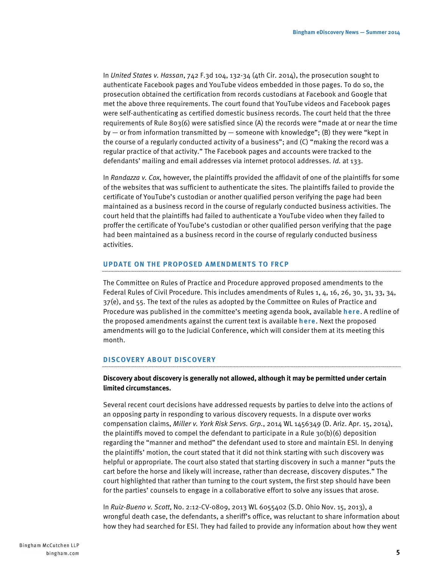In *United States v. Hassan*, 742 F.3d 104, 132-34 (4th Cir. 2014), the prosecution sought to authenticate Facebook pages and YouTube videos embedded in those pages. To do so, the prosecution obtained the certification from records custodians at Facebook and Google that met the above three requirements. The court found that YouTube videos and Facebook pages were self-authenticating as certified domestic business records. The court held that the three requirements of Rule 803(6) were satisfied since (A) the records were "made at or near the time by  $-$  or from information transmitted by  $-$  someone with knowledge"; (B) they were "kept in the course of a regularly conducted activity of a business"; and (C) "making the record was a regular practice of that activity." The Facebook pages and accounts were tracked to the defendants' mailing and email addresses via internet protocol addresses. *Id.* at 133.

In *Randazza v. Cox*, however, the plaintiffs provided the affidavit of one of the plaintiffs for some of the websites that was sufficient to authenticate the sites. The plaintiffs failed to provide the certificate of YouTube's custodian or another qualified person verifying the page had been maintained as a business record in the course of regularly conducted business activities. The court held that the plaintiffs had failed to authenticate a YouTube video when they failed to proffer the certificate of YouTube's custodian or other qualified person verifying that the page had been maintained as a business record in the course of regularly conducted business activities.

#### **UPDATE ON THE PROPOSED AMENDMENTS TO FRCP**

The Committee on Rules of Practice and Procedure approved proposed amendments to the Federal Rules of Civil Procedure. This includes amendments of Rules 1, 4, 16, 26, 30, 31, 33, 34, 37(e), and 55. The text of the rules as adopted by the Committee on Rules of Practice and Procedure was published in the committee's meeting agenda book, [available](http://www.uscourts.gov/uscourts/RulesAndPolicies/rules/Agenda%20Books/Standing/ST2014-05.pdf#pagemode=bookmarks) **here**. A redline of the proposed amendments against the current text is [available](http://www.uscourts.gov/uscourts/RulesAndPolicies/rules/civil_rules_redline.pdf) **here**. Next the proposed amendments will go to the Judicial Conference, which will consider them at its meeting this month.

#### **DISCOVERY ABOUT DISCOVERY**

#### **Discovery about discovery is generally not allowed, although it may be permitted under certain limited circumstances.**

Several recent court decisions have addressed requests by parties to delve into the actions of an opposing party in responding to various discovery requests. In a dispute over works compensation claims, *Miller v. York Risk Servs. Grp.*, 2014 WL 1456349 (D. Ariz. Apr. 15, 2014), the plaintiffs moved to compel the defendant to participate in a Rule 30(b)(6) deposition regarding the "manner and method" the defendant used to store and maintain ESI. In denying the plaintiffs' motion, the court stated that it did not think starting with such discovery was helpful or appropriate. The court also stated that starting discovery in such a manner "puts the cart before the horse and likely will increase, rather than decrease, discovery disputes." The court highlighted that rather than turning to the court system, the first step should have been for the parties' counsels to engage in a collaborative effort to solve any issues that arose.

In *Ruiz-Bueno v. Scott*, No. 2:12-CV-0809, 2013 WL 6055402 (S.D. Ohio Nov. 15, 2013), a wrongful death case, the defendants, a sheriff's office, was reluctant to share information about how they had searched for ESI. They had failed to provide any information about how they went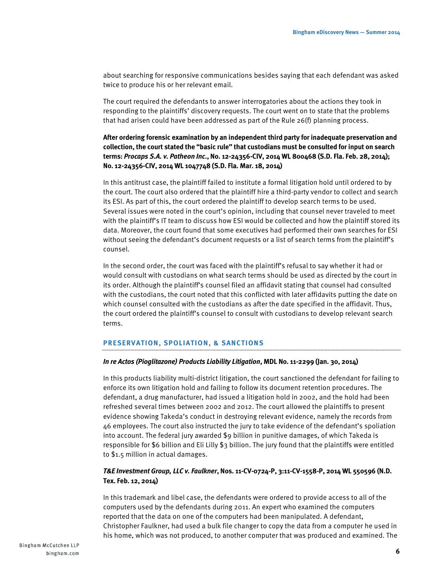about searching for responsive communications besides saying that each defendant was asked twice to produce his or her relevant email.

The court required the defendants to answer interrogatories about the actions they took in responding to the plaintiffs' discovery requests. The court went on to state that the problems that had arisen could have been addressed as part of the Rule 26(f) planning process.

## **After ordering forensic examination by an independent third party for inadequate preservation and collection, the court stated the "basic rule" that custodians must be consulted for input on search terms:** *Procaps S.A. v. Patheon Inc***., No. 12-24356-CIV, 2014 WL 800468 (S.D. Fla. Feb. 28, 2014); No. 12-24356-CIV, 2014 WL 1047748 (S.D. Fla. Mar. 18, 2014)**

In this antitrust case, the plaintiff failed to institute a formal litigation hold until ordered to by the court. The court also ordered that the plaintiff hire a third-party vendor to collect and search its ESI. As part of this, the court ordered the plaintiff to develop search terms to be used. Several issues were noted in the court's opinion, including that counsel never traveled to meet with the plaintiff's IT team to discuss how ESI would be collected and how the plaintiff stored its data. Moreover, the court found that some executives had performed their own searches for ESI without seeing the defendant's document requests or a list of search terms from the plaintiff's counsel.

In the second order, the court was faced with the plaintiff's refusal to say whether it had or would consult with custodians on what search terms should be used as directed by the court in its order. Although the plaintiff's counsel filed an affidavit stating that counsel had consulted with the custodians, the court noted that this conflicted with later affidavits putting the date on which counsel consulted with the custodians as after the date specified in the affidavit. Thus, the court ordered the plaintiff's counsel to consult with custodians to develop relevant search terms.

#### **PRESERVATION, SPOLIATION, & SANCTIONS**

#### *In re Actos (Pioglitazone) Products Liability Litigation***, MDL No. 11-2299 (Jan. 30, 2014)**

In this products liability multi-district litigation, the court sanctioned the defendant for failing to enforce its own litigation hold and failing to follow its document retention procedures. The defendant, a drug manufacturer, had issued a litigation hold in 2002, and the hold had been refreshed several times between 2002 and 2012. The court allowed the plaintiffs to present evidence showing Takeda's conduct in destroying relevant evidence, namely the records from 46 employees. The court also instructed the jury to take evidence of the defendant's spoliation into account. The federal jury awarded \$9 billion in punitive damages, of which Takeda is responsible for \$6 billion and Eli Lilly \$3 billion. The jury found that the plaintiffs were entitled to \$1.5 million in actual damages.

#### *T&E Investment Group, LLC v. Faulkner***, Nos. 11-CV-0724-P, 3:11-CV-1558-P, 2014 WL 550596 (N.D. Tex. Feb. 12, 2014)**

In this trademark and libel case, the defendants were ordered to provide access to all of the computers used by the defendants during 2011. An expert who examined the computers reported that the data on one of the computers had been manipulated. A defendant, Christopher Faulkner, had used a bulk file changer to copy the data from a computer he used in his home, which was not produced, to another computer that was produced and examined. The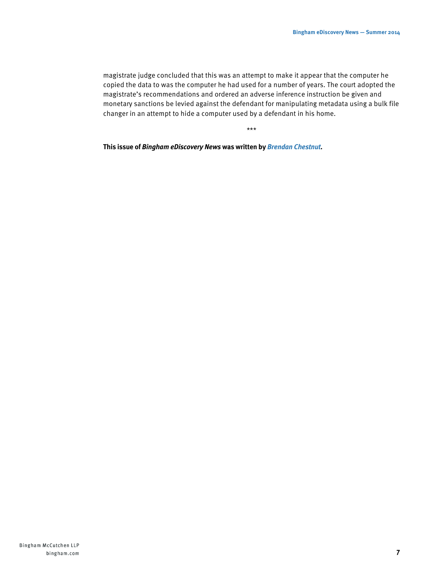magistrate judge concluded that this was an attempt to make it appear that the computer he copied the data to was the computer he had used for a number of years. The court adopted the magistrate's recommendations and ordered an adverse inference instruction be given and monetary sanctions be levied against the defendant for manipulating metadata using a bulk file changer in an attempt to hide a computer used by a defendant in his home.

\*\*\*

**This issue of** *Bingham eDiscovery News* **was written by** *[Brendan Chestnut](http://www.bingham.com/People/Chestnut-Brendan)***.**